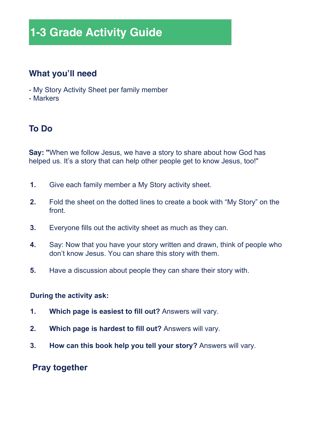## **1-3 Grade Activity Guide**

#### **What you'll need**

- My Story Activity Sheet per family member
- Markers

#### **To Do**

**Say: "**When we follow Jesus, we have a story to share about how God has helped us. It's a story that can help other people get to know Jesus, too!"

- **1.** Give each family member a My Story activity sheet.
- **2.** Fold the sheet on the dotted lines to create a book with "My Story" on the front.
- **3.** Everyone fills out the activity sheet as much as they can.
- **4.** Say: Now that you have your story written and drawn, think of people who don't know Jesus. You can share this story with them.
- **5.** Have a discussion about people they can share their story with.

#### **During the activity ask:**

- **1. Which page is easiest to fill out?** Answers will vary.
- **2. Which page is hardest to fill out?** Answers will vary.
- **3. How can this book help you tell your story?** Answers will vary.

#### **Pray together**